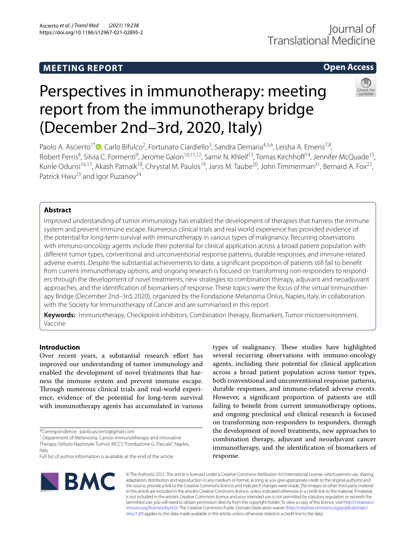# **MEETING REPORT**

# **Open Access**

# Perspectives in immunotherapy: meeting report from the immunotherapy bridge (December 2nd–3rd, 2020, Italy)

Paolo A. Ascierto<sup>1[\\*](http://orcid.org/0000-0002-8322-475X)</sup><sup>®</sup>, Carlo Bifulco<sup>2</sup>, Fortunato Ciardiello<sup>3</sup>, Sandra Demaria<sup>4,5,6</sup>, Leisha A. Emens<sup>7,8</sup>, Robert Ferris<sup>8</sup>, Silvia C. Formenti<sup>9</sup>, Jerome Galon<sup>10,11,12</sup>, Samir N. Khleif<sup>13</sup>, Tomas Kirchhoff<sup>14</sup>, Jennifer McQuade<sup>15</sup>, Kunle Odunsi<sup>16,17</sup>, Akash Patnaik<sup>18</sup>, Chrystal M. Paulos<sup>19</sup>, Janis M. Taube<sup>20</sup>, John Timmerman<sup>21</sup>, Bernard A. Fox<sup>22</sup>, Patrick Hwu<sup>23</sup> and Igor Puzanov<sup>24</sup>

## **Abstract**

Improved understanding of tumor immunology has enabled the development of therapies that harness the immune system and prevent immune escape. Numerous clinical trials and real-world experience has provided evidence of the potential for long-term survival with immunotherapy in various types of malignancy. Recurring observations with immuno-oncology agents include their potential for clinical application across a broad patient population with diferent tumor types, conventional and unconventional response patterns, durable responses, and immune-related adverse events. Despite the substantial achievements to date, a signifcant proportion of patients still fail to beneft from current immunotherapy options, and ongoing research is focused on transforming non-responders to responders through the development of novel treatments, new strategies to combination therapy, adjuvant and neoadjuvant approaches, and the identifcation of biomarkers of response. These topics were the focus of the virtual Immunotherapy Bridge (December 2nd–3rd, 2020), organized by the Fondazione Melanoma Onlus, Naples, Italy, in collaboration with the Society for Immunotherapy of Cancer and are summarised in this report.

**Keywords:** Immunotherapy, Checkpoint inhibitors, Combination therapy, Biomarkers, Tumor microenvironment, Vaccine

### **Introduction**

Over recent years, a substantial research effort has improved our understanding of tumor immunology and enabled the development of novel treatments that harness the immune system and prevent immune escape. Through numerous clinical trials and real-world experience, evidence of the potential for long-term survival with immunotherapy agents has accumulated in various

<sup>1</sup> Department of Melanoma, Cancer Immunotherapy and Innovative Therapy, Istituto Nazionale Tumori IRCCS "Fondazione G. Pascale", Naples, Italy

types of malignancy. These studies have highlighted several recurring observations with immuno-oncology agents, including their potential for clinical application across a broad patient population across tumor types, both conventional and unconventional response patterns, durable responses, and immune-related adverse events. However, a signifcant proportion of patients are still failing to beneft from current immunotherapy options, and ongoing preclinical and clinical research is focused on transforming non-responders to responders, through the development of novel treatments, new approaches to combination therapy, adjuvant and neoadjuvant cancer immunotherapy, and the identifcation of biomarkers of response.



© The Author(s) 2021. This article is licensed under a Creative Commons Attribution 4.0 International License, which permits use, sharing, adaptation, distribution and reproduction in any medium or format, as long as you give appropriate credit to the original author(s) and the source, provide a link to the Creative Commons licence, and indicate if changes were made. The images or other third party material in this article are included in the article's Creative Commons licence, unless indicated otherwise in a credit line to the material. If material is not included in the article's Creative Commons licence and your intended use is not permitted by statutory regulation or exceeds the permitted use, you will need to obtain permission directly from the copyright holder. To view a copy of this licence, visit [http://creativeco](http://creativecommons.org/licenses/by/4.0/) [mmons.org/licenses/by/4.0/.](http://creativecommons.org/licenses/by/4.0/) The Creative Commons Public Domain Dedication waiver ([http://creativecommons.org/publicdomain/](http://creativecommons.org/publicdomain/zero/1.0/) [zero/1.0/\)](http://creativecommons.org/publicdomain/zero/1.0/) applies to the data made available in this article, unless otherwise stated in a credit line to the data.

<sup>\*</sup>Correspondence: paolo.ascierto@gmail.com

Full list of author information is available at the end of the article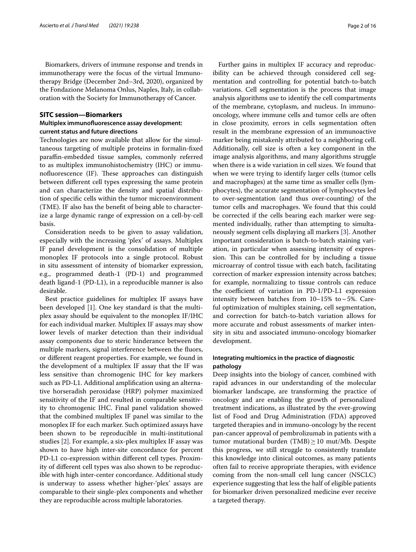Biomarkers, drivers of immune response and trends in immunotherapy were the focus of the virtual Immunotherapy Bridge (December 2nd–3rd, 2020), organized by the Fondazione Melanoma Onlus, Naples, Italy, in collaboration with the Society for Immunotherapy of Cancer.

#### **SITC session—Biomarkers**

#### **Multiplex immunofuorescence assay development: current status and future directions**

Technologies are now available that allow for the simultaneous targeting of multiple proteins in formalin-fxed parafn-embedded tissue samples, commonly referred to as multiplex immunohistochemistry (IHC) or immunofluorescence (IF). These approaches can distinguish between diferent cell types expressing the same protein and can characterize the density and spatial distribution of specifc cells within the tumor microenvironment (TME). IF also has the beneft of being able to characterize a large dynamic range of expression on a cell-by-cell basis.

Consideration needs to be given to assay validation, especially with the increasing 'plex' of assays. Multiplex IF panel development is the consolidation of multiple monoplex IF protocols into a single protocol. Robust in situ assessment of intensity of biomarker expression, e.g., programmed death-1 (PD-1) and programmed death ligand-1 (PD-L1), in a reproducible manner is also desirable.

Best practice guidelines for multiplex IF assays have been developed [\[1](#page-13-0)]. One key standard is that the multiplex assay should be equivalent to the monoplex IF/IHC for each individual marker. Multiplex IF assays may show lower levels of marker detection than their individual assay components due to steric hinderance between the multiple markers, signal interference between the fuors, or diferent reagent properties. For example, we found in the development of a multiplex IF assay that the IF was less sensitive than chromogenic IHC for key markers such as PD-L1. Additional amplifcation using an alternative horseradish peroxidase (HRP) polymer maximized sensitivity of the IF and resulted in comparable sensitivity to chromogenic IHC. Final panel validation showed that the combined multiplex IF panel was similar to the monoplex IF for each marker. Such optimized assays have been shown to be reproducible in multi-institutional studies [[2\]](#page-13-1). For example, a six-plex multiplex IF assay was shown to have high inter-site concordance for percent PD-L1 co-expression within diferent cell types. Proximity of diferent cell types was also shown to be reproducible with high inter-center concordance. Additional study is underway to assess whether higher-'plex' assays are comparable to their single-plex components and whether they are reproducible across multiple laboratories.

Further gains in multiplex IF accuracy and reproducibility can be achieved through considered cell segmentation and controlling for potential batch-to-batch variations. Cell segmentation is the process that image analysis algorithms use to identify the cell compartments of the membrane, cytoplasm, and nucleus. In immunooncology, where immune cells and tumor cells are often in close proximity, errors in cells segmentation often result in the membrane expression of an immunoactive marker being mistakenly attributed to a neighboring cell. Additionally, cell size is often a key component in the image analysis algorithms, and many algorithms struggle when there is a wide variation in cell sizes. We found that when we were trying to identify larger cells (tumor cells and macrophages) at the same time as smaller cells (lymphocytes), the accurate segmentation of lymphocytes led to over-segmentation (and thus over-counting) of the tumor cells and macrophages. We found that this could be corrected if the cells bearing each marker were segmented individually, rather than attempting to simultaneously segment cells displaying all markers [\[3](#page-13-2)]. Another important consideration is batch-to-batch staining variation, in particular when assessing intensity of expression. This can be controlled for by including a tissue microarray of control tissue with each batch, facilitating correction of marker expression intensity across batches; for example, normalizing to tissue controls can reduce the coefficient of variation in  $PD-1/PD-L1$  expression intensity between batches from  $10-15%$  to  $\sim$  5%. Careful optimization of multiplex staining, cell segmentation, and correction for batch-to-batch variation allows for more accurate and robust assessments of marker intensity in situ and associated immuno-oncology biomarker development.

#### **Integrating multiomics in the practice of diagnostic pathology**

Deep insights into the biology of cancer, combined with rapid advances in our understanding of the molecular biomarker landscape, are transforming the practice of oncology and are enabling the growth of personalized treatment indications, as illustrated by the ever-growing list of Food and Drug Administration (FDA) approved targeted therapies and in immuno-oncology by the recent pan-cancer approval of pembrolizumab in patients with a tumor mutational burden (TMB) $\geq$ 10 mut/Mb. Despite this progress, we still struggle to consistently translate this knowledge into clinical outcomes, as many patients often fail to receive appropriate therapies, with evidence coming from the non-small cell lung cancer (NSCLC) experience suggesting that less the half of eligible patients for biomarker driven personalized medicine ever receive a targeted therapy.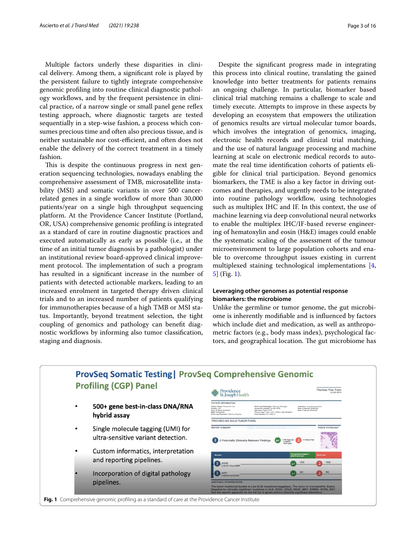Multiple factors underly these disparities in clinical delivery. Among them, a signifcant role is played by the persistent failure to tightly integrate comprehensive genomic profling into routine clinical diagnostic pathology workflows, and by the frequent persistence in clinical practice, of a narrow single or small panel gene refex testing approach, where diagnostic targets are tested sequentially in a step-wise fashion, a process which consumes precious time and often also precious tissue, and is neither sustainable nor cost-efficient, and often does not enable the delivery of the correct treatment in a timely fashion.

This is despite the continuous progress in next generation sequencing technologies, nowadays enabling the comprehensive assessment of TMB, microsatellite instability (MSI) and somatic variants in over 500 cancerrelated genes in a single workflow of more than 30,000 patients/year on a single high throughput sequencing platform. At the Providence Cancer Institute (Portland, OR, USA) comprehensive genomic profling is integrated as a standard of care in routine diagnostic practices and executed automatically as early as possible (i.e., at the time of an initial tumor diagnosis by a pathologist) under an institutional review board-approved clinical improvement protocol. The implementation of such a program has resulted in a signifcant increase in the number of patients with detected actionable markers, leading to an increased enrolment in targeted therapy driven clinical trials and to an increased number of patients qualifying for immunotherapies because of a high TMB or MSI status. Importantly, beyond treatment selection, the tight coupling of genomics and pathology can beneft diagnostic workflows by informing also tumor classification, staging and diagnosis.

Despite the signifcant progress made in integrating this process into clinical routine, translating the gained knowledge into better treatments for patients remains an ongoing challenge. In particular, biomarker based clinical trial matching remains a challenge to scale and timely execute. Attempts to improve in these aspects by developing an ecosystem that empowers the utilization of genomics results are virtual molecular tumor boards, which involves the integration of genomics, imaging, electronic health records and clinical trial matching, and the use of natural language processing and machine learning at scale on electronic medical records to automate the real time identifcation cohorts of patients eligible for clinical trial participation. Beyond genomics biomarkers, the TME is also a key factor in driving outcomes and therapies, and urgently needs to be integrated into routine pathology workflow, using technologies such as multiplex IHC and IF. In this context, the use of machine learning via deep convolutional neural networks to enable the multiplex IHC/IF-based reverse engineering of hematoxylin and eosin (H&E) images could enable the systematic scaling of the assessment of the tumour microenvironment to large population cohorts and enable to overcome throughput issues existing in current multiplexed staining technological implementations [\[4](#page-13-3), [5\]](#page-13-4) (Fig. [1](#page-2-0)).

#### **Leveraging other genomes as potential response biomarkers: the microbiome**

Unlike the germline or tumor genome, the gut microbiome is inherently modifable and is infuenced by factors which include diet and medication, as well as anthropometric factors (e.g., body mass index), psychological factors, and geographical location. The gut microbiome has

<span id="page-2-0"></span>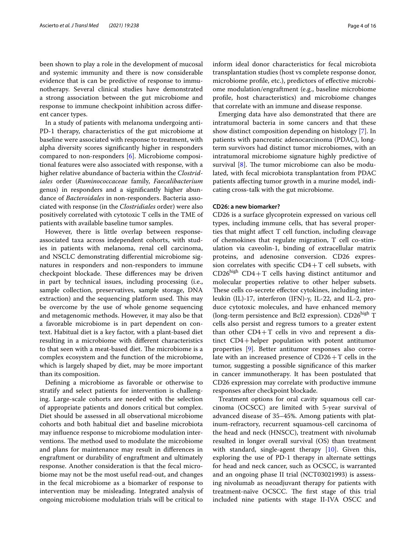been shown to play a role in the development of mucosal and systemic immunity and there is now considerable evidence that is can be predictive of response to immunotherapy. Several clinical studies have demonstrated a strong association between the gut microbiome and response to immune checkpoint inhibition across diferent cancer types.

In a study of patients with melanoma undergoing anti-PD-1 therapy, characteristics of the gut microbiome at baseline were associated with response to treatment, with alpha diversity scores signifcantly higher in responders compared to non-responders [\[6](#page-13-5)]. Microbiome compositional features were also associated with response, with a higher relative abundance of bacteria within the *Clostridiales* order (*Ruminococcaceae* family, *Faecalibacterium* genus) in responders and a signifcantly higher abundance of *Bacteroidales* in non-responders. Bacteria associated with response (in the *Clostridiales* order) were also positively correlated with cytotoxic T cells in the TME of patients with available baseline tumor samples.

However, there is little overlap between responseassociated taxa across independent cohorts, with studies in patients with melanoma, renal cell carcinoma, and NSCLC demonstrating diferential microbiome signatures in responders and non-responders to immune checkpoint blockade. These differences may be driven in part by technical issues, including processing (i.e., sample collection, preservatives, sample storage, DNA extraction) and the sequencing platform used. This may be overcome by the use of whole genome sequencing and metagenomic methods. However, it may also be that a favorable microbiome is in part dependent on context. Habitual diet is a key factor, with a plant-based diet resulting in a microbiome with diferent characteristics to that seen with a meat-based diet. The microbiome is a complex ecosystem and the function of the microbiome, which is largely shaped by diet, may be more important than its composition.

Defning a microbiome as favorable or otherwise to stratify and select patients for intervention is challenging. Large-scale cohorts are needed with the selection of appropriate patients and donors critical but complex. Diet should be assessed in all observational microbiome cohorts and both habitual diet and baseline microbiota may infuence response to microbiome modulation interventions. The method used to modulate the microbiome and plans for maintenance may result in diferences in engraftment or durability of engraftment and ultimately response. Another consideration is that the fecal microbiome may not be the most useful read-out, and changes in the fecal microbiome as a biomarker of response to intervention may be misleading. Integrated analysis of ongoing microbiome modulation trials will be critical to inform ideal donor characteristics for fecal microbiota transplantation studies (host vs complete response donor, microbiome profle, etc.), predictors of efective microbiome modulation/engraftment (e.g., baseline microbiome profle, host characteristics) and microbiome changes that correlate with an immune and disease response.

Emerging data have also demonstrated that there are intratumoral bacteria in some cancers and that these show distinct composition depending on histology [\[7\]](#page-13-6). In patients with pancreatic adenocarcinoma (PDAC), longterm survivors had distinct tumor microbiomes, with an intratumoral microbiome signature highly predictive of survival  $[8]$  $[8]$ . The tumor microbiome can also be modulated, with fecal microbiota transplantation from PDAC patients afecting tumor growth in a murine model, indicating cross-talk with the gut microbiome.

#### **CD26: a new biomarker?**

CD26 is a surface glycoprotein expressed on various cell types, including immune cells, that has several properties that might afect T cell function, including cleavage of chemokines that regulate migration, T cell co-stimulation via caveolin-1, binding of extracellular matrix proteins, and adenosine conversion. CD26 expression correlates with specific  $CD4+T$  cell subsets, with  $CD26<sup>high</sup>$  CD4+T cells having distinct antitumor and molecular properties relative to other helper subsets. These cells co-secrete effector cytokines, including interleukin (IL)-17, interferon (IFN)-γ, IL-22, and IL-2, produce cytotoxic molecules, and have enhanced memory (long-term persistence and Bcl2 expression). CD26<sup>high</sup> T cells also persist and regress tumors to a greater extent than other  $CD4+T$  cells in vivo and represent a distinct CD4+helper population with potent antitumor properties [\[9\]](#page-13-8). Better antitumor responses also correlate with an increased presence of CD26+T cells in the tumor, suggesting a possible signifcance of this marker in cancer immunotherapy. It has been postulated that CD26 expression may correlate with productive immune responses after checkpoint blockade.

Treatment options for oral cavity squamous cell carcinoma (OCSCC) are limited with 5-year survival of advanced disease of 35–45%. Among patients with platinum-refractory, recurrent squamous-cell carcinoma of the head and neck (HNSCC), treatment with nivolumab resulted in longer overall survival (OS) than treatment with standard, single-agent therapy [\[10\]](#page-13-9). Given this, exploring the use of PD-1 therapy in alternate settings for head and neck cancer, such as OCSCC, is warranted and an ongoing phase II trial (NCT03021993) is assessing nivolumab as neoadjuvant therapy for patients with treatment-naïve OCSCC. The first stage of this trial included nine patients with stage II-IVA OSCC and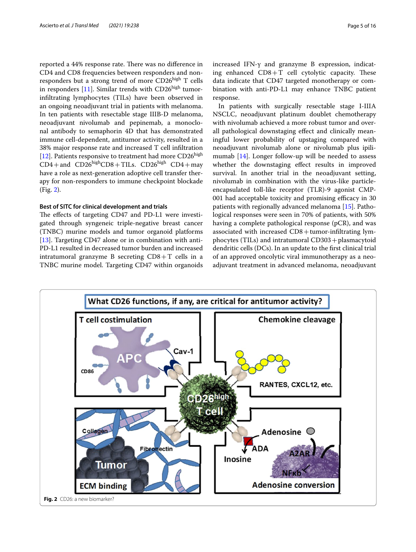reported a 44% response rate. There was no difference in CD4 and CD8 frequencies between responders and nonresponders but a strong trend of more CD26high T cells in responders [[11\]](#page-14-0). Similar trends with  $CD26<sup>high</sup>$  tumorinfltrating lymphocytes (TILs) have been observed in an ongoing neoadjuvant trial in patients with melanoma. In ten patients with resectable stage IIIB-D melanoma, neoadjuvant nivolumab and pepinemab, a monoclonal antibody to semaphorin 4D that has demonstrated immune cell-dependent, antitumor activity, resulted in a 38% major response rate and increased T cell infltration [[12\]](#page-14-1). Patients responsive to treatment had more  $CD26<sup>high</sup>$  $CD4+$ and  $CD26<sup>high</sup>CD8+TLs$ .  $CD26<sup>high</sup> CD4+$ may have a role as next-generation adoptive cell transfer therapy for non-responders to immune checkpoint blockade (Fig. [2\)](#page-4-0).

#### **Best of SITC for clinical development and trials**

The effects of targeting CD47 and PD-L1 were investigated through syngeneic triple-negative breast cancer (TNBC) murine models and tumor organoid platforms [[13\]](#page-14-2). Targeting CD47 alone or in combination with anti-PD-L1 resulted in decreased tumor burden and increased intratumoral granzyme B secreting  $CD8+T$  cells in a TNBC murine model. Targeting CD47 within organoids increased IFN-γ and granzyme B expression, indicating enhanced  $CD8+T$  cell cytolytic capacity. These data indicate that CD47 targeted monotherapy or combination with anti-PD-L1 may enhance TNBC patient response.

In patients with surgically resectable stage I-IIIA NSCLC, neoadjuvant platinum doublet chemotherapy with nivolumab achieved a more robust tumor and overall pathological downstaging efect and clinically meaningful lower probability of upstaging compared with neoadjuvant nivolumab alone or nivolumab plus ipilimumab [[14\]](#page-14-3). Longer follow-up will be needed to assess whether the downstaging effect results in improved survival. In another trial in the neoadjuvant setting, nivolumab in combination with the virus-like particleencapsulated toll-like receptor (TLR)-9 agonist CMP-001 had acceptable toxicity and promising efficacy in 30 patients with regionally advanced melanoma [[15](#page-14-4)]. Pathological responses were seen in 70% of patients, with 50% having a complete pathological response (pCR), and was associated with increased  $CD8+$ tumor-infiltrating lymphocytes (TILs) and intratumoral CD303+plasmacytoid dendritic cells (DCs). In an update to the frst clinical trial of an approved oncolytic viral immunotherapy as a neoadjuvant treatment in advanced melanoma, neoadjuvant

<span id="page-4-0"></span>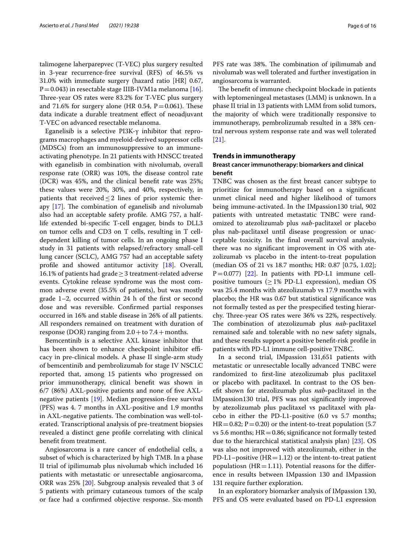talimogene laherparepvec (T-VEC) plus surgery resulted in 3-year recurrence-free survival (RFS) of 46.5% vs 31.0% with immediate surgery (hazard ratio [HR] 0.67,  $P=0.043$ ) in resectable stage IIIB-IVM1a melanoma [\[16](#page-14-5)]. Three-year OS rates were 83.2% for T-VEC plus surgery and 71.6% for surgery alone (HR 0.54,  $P = 0.061$ ). These data indicate a durable treatment efect of neoadjuvant T-VEC on advanced resectable melanoma.

Eganelisib is a selective PI3K-γ inhibitor that reprograms macrophages and myeloid-derived suppressor cells (MDSCs) from an immunosuppressive to an immuneactivating phenotype. In 21 patients with HNSCC treated with eganelisib in combination with nivolumab, overall response rate (ORR) was 10%, the disease control rate (DCR) was 45%, and the clinical beneft rate was 25%; these values were 20%, 30%, and 40%, respectively, in patients that received  $\leq$  2 lines of prior systemic therapy  $[17]$  $[17]$ . The combination of eganelisib and nivolumab also had an acceptable safety profle. AMG 757, a halflife extended bi-specifc T-cell engager, binds to DLL3 on tumor cells and CD3 on T cells, resulting in T celldependent killing of tumor cells. In an ongoing phase I study in 31 patients with relapsed/refractory small-cell lung cancer (SCLC), AMG 757 had an acceptable safety profle and showed antitumor activity [\[18](#page-14-7)]. Overall, 16.1% of patients had grade≥3 treatment-related adverse events. Cytokine release syndrome was the most common adverse event (35.5% of patients), but was mostly grade 1–2, occurred within 24 h of the frst or second dose and was reversible. Confrmed partial responses occurred in 16% and stable disease in 26% of all patients. All responders remained on treatment with duration of response (DOR) ranging from  $2.0 +$  to  $7.4 +$  months.

Bemcentinib is a selective AXL kinase inhibitor that has been shown to enhance checkpoint inhibitor efficacy in pre-clinical models. A phase II single-arm study of bemcentinib and pembrolizumab for stage IV NSCLC reported that, among 15 patients who progressed on prior immunotherapy, clinical beneft was shown in 6/7 (86%) AXL-positive patients and none of fve AXLnegative patients [[19](#page-14-8)]. Median progression-free survival (PFS) was 4. 7 months in AXL-positive and 1.9 months in AXL-negative patients. The combination was well-tolerated. Transcriptional analysis of pre-treatment biopsies revealed a distinct gene profle correlating with clinical beneft from treatment.

Angiosarcoma is a rare cancer of endothelial cells, a subset of which is characterized by high TMB. In a phase II trial of ipilimumab plus nivolumab which included 16 patients with metastatic or unresectable angiosarcoma, ORR was 25% [\[20](#page-14-9)]. Subgroup analysis revealed that 3 of 5 patients with primary cutaneous tumors of the scalp or face had a confrmed objective response. Six-month

PFS rate was 38%. The combination of ipilimumab and nivolumab was well tolerated and further investigation in angiosarcoma is warranted.

The benefit of immune checkpoint blockade in patients with leptomeningeal metastases (LMM) is unknown. In a phase II trial in 13 patients with LMM from solid tumors, the majority of which were traditionally responsive to immunotherapy, pembrolizumab resulted in a 38% central nervous system response rate and was well tolerated [[21\]](#page-14-10).

#### **Trends in immunotherapy**

#### **Breast cancer immunotherapy: biomarkers and clinical beneft**

TNBC was chosen as the frst breast cancer subtype to prioritize for immunotherapy based on a signifcant unmet clinical need and higher likelihood of tumors being immune-activated. In the IMpassion130 trial, 902 patients with untreated metastatic TNBC were randomized to atezolizumab plus *nab*-paclitaxel or placebo plus nab-paclitaxel until disease progression or unacceptable toxicity. In the fnal overall survival analysis, there was no signifcant improvement in OS with atezolizumab vs placebo in the intent-to-treat population (median OS of 21 vs 18.7 months; HR: 0.87 [0.75, 1.02];  $P=0.077$ ) [[22\]](#page-14-11). In patients with PD-L1 immune cellpositive tumours ( $\geq$  1% PD-L1 expression), median OS was 25.4 months with atezolizumab vs 17.9 months with placebo; the HR was 0.67 but statistical signifcance was not formally tested as per the prespecifed testing hierarchy. Three-year OS rates were 36% vs 22%, respectively. The combination of atezolizumab plus *nab*-paclitaxel remained safe and tolerable with no new safety signals, and these results support a positive beneft-risk profle in patients with PD-L1 immune cell-positive TNBC.

In a second trial, IMpassion 131,651 patients with metastatic or unresectable locally advanced TNBC were randomized to frst-line atezolizumab plus paclitaxel or placebo with paclitaxel. In contrast to the OS beneft shown for atezolizumab plus *nab*-paclitaxel in the IMpassion130 trial, PFS was not signifcantly improved by atezolizumab plus paclitaxel vs paclitaxel with placebo in either the PD-L1-positive (6.0 vs 5.7 months;  $HR=0.82; P=0.20$  or the intent-to-treat population (5.7) vs 5.6 months;  $HR = 0.86$ ; significance not formally tested due to the hierarchical statistical analysis plan) [\[23](#page-14-12)]. OS was also not improved with atezolizumab, either in the PD-L1–positive  $(HR=1.12)$  or the intent-to-treat patient populatiosn ( $HR = 1.11$ ). Potential reasons for the difference in results between IMpassion 130 and IMpassion 131 require further exploration.

In an exploratory biomarker analysis of IMpassion 130, PFS and OS were evaluated based on PD-L1 expression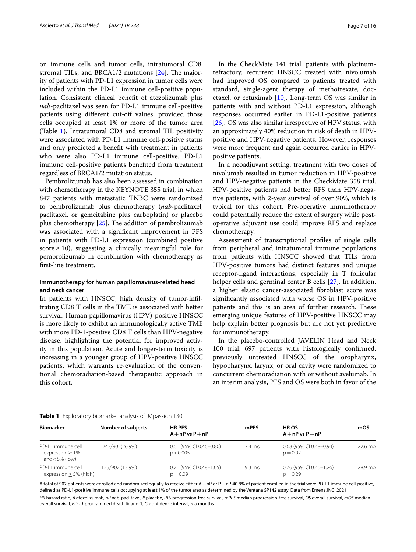on immune cells and tumor cells, intratumoral CD8, stromal TILs, and BRCA1/2 mutations  $[24]$  $[24]$ . The majority of patients with PD-L1 expression in tumor cells were included within the PD-L1 immune cell-positive population. Consistent clinical beneft of atezolizumab plus *nab*-paclitaxel was seen for PD-L1 immune cell-positive patients using different cut-off values, provided those cells occupied at least 1% or more of the tumor area (Table [1\)](#page-6-0). Intratumoral CD8 and stromal TIL positivity were associated with PD-L1 immune cell-positive status and only predicted a beneft with treatment in patients who were also PD-L1 immune cell-positive. PD-L1 immune cell-positive patients benefted from treatment regardless of BRCA1/2 mutation status.

Pembrolizumab has also been assessed in combination with chemotherapy in the KEYNOTE 355 trial, in which 847 patients with metastatic TNBC were randomized to pembrolizumab plus chemotherapy (*nab*-paclitaxel, paclitaxel, or gemcitabine plus carboplatin) or placebo plus chemotherapy  $[25]$  $[25]$ . The addition of pembrolizumab was associated with a signifcant improvement in PFS in patients with PD-L1 expression (combined positive score  $\geq$  10), suggesting a clinically meaningful role for pembrolizumab in combination with chemotherapy as frst-line treatment.

#### **Immunotherapy for human papillomavirus‑related head and neck cancer**

In patients with HNSCC, high density of tumor-infltrating CD8 T cells in the TME is associated with better survival. Human papillomavirus (HPV)-positive HNSCC is more likely to exhibit an immunologically active TME with more PD-1-positive CD8 T cells than HPV-negative disease, highlighting the potential for improved activity in this population. Acute and longer-term toxicity is increasing in a younger group of HPV-positive HNSCC patients, which warrants re-evaluation of the conventional chemoradiation-based therapeutic approach in this cohort.

In the CheckMate 141 trial, patients with platinumrefractory, recurrent HNSCC treated with nivolumab had improved OS compared to patients treated with standard, single-agent therapy of methotrexate, docetaxel, or cetuximab [[10](#page-13-9)]. Long-term OS was similar in patients with and without PD-L1 expression, although responses occurred earlier in PD-L1-positive patients [[26\]](#page-14-15). OS was also similar irrespective of HPV status, with an approximately 40% reduction in risk of death in HPVpositive and HPV-negative patients. However, responses were more frequent and again occurred earlier in HPVpositive patients.

In a neoadjuvant setting, treatment with two doses of nivolumab resulted in tumor reduction in HPV-positive and HPV-negative patients in the CheckMate 358 trial. HPV-positive patients had better RFS than HPV-negative patients, with 2-year survival of over 90%, which is typical for this cohort. Pre-operative immunotherapy could potentially reduce the extent of surgery while postoperative adjuvant use could improve RFS and replace chemotherapy.

Assessment of transcriptional profles of single cells from peripheral and intratumoral immune populations from patients with HNSCC showed that TILs from HPV-positive tumors had distinct features and unique receptor-ligand interactions, especially in T follicular helper cells and germinal center B cells [\[27](#page-14-16)]. In addition, a higher elastic cancer-associated fbroblast score was signifcantly associated with worse OS in HPV-positive patients and this is an area of further research. These emerging unique features of HPV-positive HNSCC may help explain better prognosis but are not yet predictive for immunotherapy.

In the placebo-controlled JAVELIN Head and Neck 100 trial, 697 patients with histologically confrmed, previously untreated HNSCC of the oropharynx, hypopharynx, larynx, or oral cavity were randomized to concurrent chemoradiation with or without avelumab. In an interim analysis, PFS and OS were both in favor of the

<span id="page-6-0"></span>

| <b>Table 1</b> Exploratory biomarker analysis of IMpassion 130 |  |
|----------------------------------------------------------------|--|
|----------------------------------------------------------------|--|

| <b>Biomarker</b>                                         | <b>Number of subjects</b> | <b>HR PFS</b><br>$A + nP$ vs $P + nP$   | <b>mPFS</b>      | <b>HROS</b><br>$A + nP$ vs $P + nP$     | mOS               |  |
|----------------------------------------------------------|---------------------------|-----------------------------------------|------------------|-----------------------------------------|-------------------|--|
| PD-11 immune cell<br>expression > 1%<br>and $<$ 5% (low) | 243/902(26.9%)            | $0.61$ (95% CI 0.46-0.80)<br>p < 0.005  | 7.4 mo           | 0.68 (95% CI 0.48-0.94)<br>$p = 0.02$   | $22.6 \text{ mo}$ |  |
| PD-L1 immune cell<br>expression $\geq$ 5% (high)         | 125/902 (13.9%)           | $0.71$ (95% CI 0.48-1.05)<br>$p = 0.09$ | $9.3 \text{ mo}$ | $0.76$ (95% CI 0.46-1.26)<br>$p = 0.29$ | 28.9 mo           |  |

A total of 902 patients were enrolled and randomized equally to receive either A+nP or P+nP. 40.8% of patient enrolled in the trial were PD-L1 immune cell-positive, defned as PD-L1-positive immune cells occupying at least 1% of the tumor area as determined by the Ventana SP142 assay. Data from Emens JNCI 2021

*HR* hazard ratio, *A* atezolizumab, *nP* nab-paclitaxel, *P* placebo, *PFS* progression-free survival, *mPFS* median progression-free survival, *OS* overall survival, *mOS* median overall survival, *PD-L1* programmed death ligand-1, *CI* confdence interval, *mo* months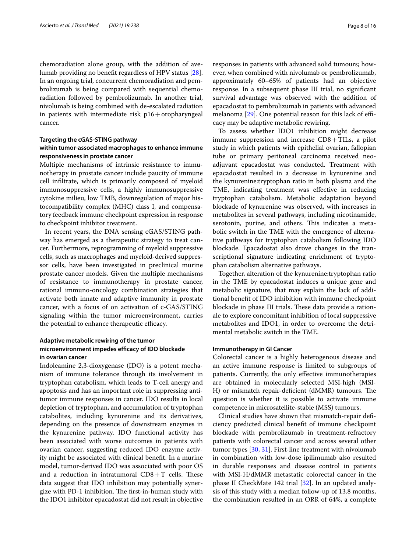chemoradiation alone group, with the addition of avelumab providing no beneft regardless of HPV status [\[28](#page-14-17)]. In an ongoing trial, concurrent chemoradiation and pembrolizumab is being compared with sequential chemoradiation followed by pembrolizumab. In another trial, nivolumab is being combined with de-escalated radiation in patients with intermediate risk  $p16 +$ oropharyngeal cancer.

#### **Targeting the cGAS‑STING pathway within tumor‑associated macrophages to enhance immune responsiveness in prostate cancer**

Multiple mechanisms of intrinsic resistance to immunotherapy in prostate cancer include paucity of immune cell infltrate, which is primarily composed of myeloid immunosuppressive cells, a highly immunosuppressive cytokine milieu, low TMB, downregulation of major histocompatibility complex (MHC) class I, and compensatory feedback immune checkpoint expression in response to checkpoint inhibitor treatment.

In recent years, the DNA sensing cGAS/STING pathway has emerged as a therapeutic strategy to treat cancer. Furthermore, reprogramming of myeloid suppressive cells, such as macrophages and myeloid-derived suppressor cells, have been investigated in preclinical murine prostate cancer models. Given the multiple mechanisms of resistance to immunotherapy in prostate cancer, rational immuno-oncology combination strategies that activate both innate and adaptive immunity in prostate cancer, with a focus of on activation of c-GAS/STING signaling within the tumor microenvironment, carries the potential to enhance therapeutic efficacy.

#### **Adaptive metabolic rewiring of the tumor**  microenvironment impedes efficacy of IDO blockade **in ovarian cancer**

Indoleamine 2,3-dioxygenase (IDO) is a potent mechanism of immune tolerance through its involvement in tryptophan catabolism, which leads to T-cell anergy and apoptosis and has an important role in suppressing antitumor immune responses in cancer. IDO results in local depletion of tryptophan, and accumulation of tryptophan catabolites, including kynurenine and its derivatives, depending on the presence of downstream enzymes in the kynurenine pathway. IDO functional activity has been associated with worse outcomes in patients with ovarian cancer, suggesting reduced IDO enzyme activity might be associated with clinical beneft. In a murine model, tumor-derived IDO was associated with poor OS and a reduction in intratumoral  $CD8+T$  cells. These data suggest that IDO inhibition may potentially synergize with PD-1 inhibition. The first-in-human study with the IDO1 inhibitor epacadostat did not result in objective responses in patients with advanced solid tumours; however, when combined with nivolumab or pembrolizumab, approximately 60–65% of patients had an objective response. In a subsequent phase III trial, no signifcant survival advantage was observed with the addition of epacadostat to pembrolizumab in patients with advanced melanoma  $[29]$  $[29]$  $[29]$ . One potential reason for this lack of efficacy may be adaptive metabolic rewiring.

To assess whether IDO1 inhibition might decrease immune suppression and increase CD8+TILs, a pilot study in which patients with epithelial ovarian, fallopian tube or primary peritoneal carcinoma received neoadjuvant epacadostat was conducted. Treatment with epacadostat resulted in a decrease in kynurenine and the kynurenine:tryptophan ratio in both plasma and the TME, indicating treatment was efective in reducing tryptophan catabolism. Metabolic adaptation beyond blockade of kynurenine was observed, with increases in metabolites in several pathways, including nicotinamide, serotonin, purine, and others. This indicates a metabolic switch in the TME with the emergence of alternative pathways for tryptophan catabolism following IDO blockade. Epacadostat also drove changes in the transcriptional signature indicating enrichment of tryptophan catabolism alternative pathways.

Together, alteration of the kynurenine:tryptophan ratio in the TME by epacadostat induces a unique gene and metabolic signature, that may explain the lack of additional beneft of IDO inhibition with immune checkpoint blockade in phase III trials. These data provide a rationale to explore concomitant inhibition of local suppressive metabolites and IDO1, in order to overcome the detrimental metabolic switch in the TME.

#### **Immunotherapy in GI Cancer**

Colorectal cancer is a highly heterogenous disease and an active immune response is limited to subgroups of patients. Currently, the only efective immunotherapies are obtained in molecularly selected MSI-high (MSI-H) or mismatch repair-deficient (dMMR) tumours. The question is whether it is possible to activate immune competence in microsatellite-stable (MSS) tumours.

Clinical studies have shown that mismatch-repair defciency predicted clinical beneft of immune checkpoint blockade with pembrolizumab in treatment-refractory patients with colorectal cancer and across several other tumor types [\[30,](#page-14-19) [31](#page-14-20)]. First-line treatment with nivolumab in combination with low-dose ipilimumab also resulted in durable responses and disease control in patients with MSI-H/dMMR metastatic colorectal cancer in the phase II CheckMate 142 trial [\[32\]](#page-14-21). In an updated analysis of this study with a median follow-up of 13.8 months, the combination resulted in an ORR of 64%, a complete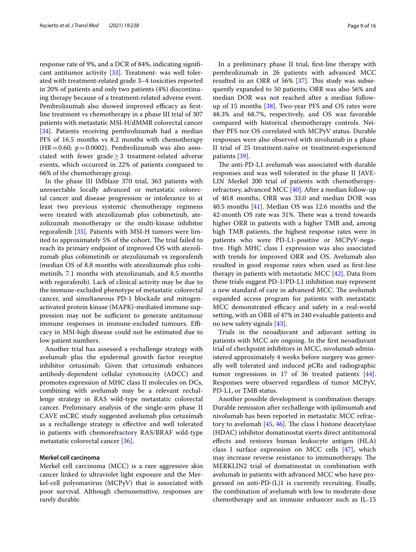response rate of 9%, and a DCR of 84%, indicating signifcant antitumor activity [[33\]](#page-14-22). Treatment- was well tolerated with treatment-related grade 3–4 toxicities reported in 20% of patients and only two patients (4%) discontinuing therapy because of a treatment-related adverse event. Pembrolizumab also showed improved efficacy as firstline treatment vs chemotherapy in a phase III trial of 307 patients with metastatic MSI-H/dMMR colorectal cancer [[34\]](#page-14-23). Patients receiving pembrolizumab had a median PFS of 16.5 months vs 8.2 months with chemotherapy  $(HR=0.60; p=0.0002)$ . Pembrolizumab was also associated with fewer grade $\geq$ 3 treatment-related adverse events, which occurred in 22% of patients compared to 66% of the chemotherapy group.

In the phase III IMblaze 370 trial, 363 patients with unresectable locally advanced or metastatic colorectal cancer and disease progression or intolerance to at least two previous systemic chemotherapy regimens were treated with atezolizumab plus cobimetinib, atezolizumab monotherapy or the multi-kinase inhibitor regorafenib [[35\]](#page-14-24). Patients with MSI-H tumors were limited to approximately 5% of the cohort. The trial failed to reach its primary endpoint of improved OS with atezolizumab plus cobimetinib or atezolizumab vs regorafenib (median OS of 8.8 months with atezolizumab plus cobimetinib, 7.1 months with atezolizumab, and 8.5 months with regorafenib). Lack of clinical activity may be due to the immune-excluded phenotype of metastatic colorectal cancer, and simultaneous PD-1 blockade and mitogenactivated protein kinase (MAPK)-mediated immune suppression may not be sufficient to generate antitumour immune responses in immune-excluded tumours. Efficacy in MSI-high disease could not be estimated due to low patient numbers.

Another trial has assessed a rechallenge strategy with avelumab plus the epidermal growth factor receptor inhibitor cetuximab. Given that cetuximab enhances antibody-dependent cellular cytotoxicity (ADCC) and promotes expression of MHC class II molecules on DCs, combining with avelumab may be a relevant rechallenge strategy in RAS wild-type metastatic colorectal cancer. Preliminary analysis of the single-arm phase II CAVE mCRC study suggested avelumab plus cetuximab as a rechallenge strategy is efective and well tolerated in patients with chemorefractory RAS/BRAF wild-type metastatic colorectal cancer [[36](#page-14-25)].

#### **Merkel cell carcinoma**

Merkel cell carcinoma (MCC) is a rare aggressive skin cancer linked to ultraviolet light exposure and the Merkel-cell polyomavirus (MCPyV) that is associated with poor survival. Although chemosensitive, responses are rarely durable.

In a preliminary phase II trial, frst-line therapy with pembrolizumab in 26 patients with advanced MCC resulted in an ORR of  $56\%$  [[37\]](#page-14-26). This study was subsequently expanded to 50 patients; ORR was also 56% and median DOR was not reached after a median followup of 15 months  $[38]$  $[38]$ . Two-year PFS and OS rates were 48.3% and 68.7%, respectively, and OS was favorable compared with historical chemotherapy controls. Neither PFS nor OS correlated with MCPyV status. Durable responses were also observed with nivolumab in a phase II trial of 25 treatment-naïve or treatment-experienced patients [[39\]](#page-14-28).

The anti-PD-L1 avelumab was associated with durable responses and was well tolerated in the phase II JAVE-LIN Merkel 200 trial of patients with chemotherapyrefractory, advanced MCC [\[40](#page-14-29)]. After a median follow-up of 40.8 months, ORR was 33.0 and median DOR was 40.5 months [[41\]](#page-14-30). Median OS was 12.6 months and the 42-month OS rate was 31%. There was a trend towards higher ORR in patients with a higher TMB and, among high TMB patients, the highest response rates were in patients who were PD-L1-positive or MCPyV-negative. High MHC class I expression was also associated with trends for improved ORR and OS. Avelumab also resulted in good response rates when used as frst-line therapy in patients with metastatic MCC  $[42]$  $[42]$  $[42]$ . Data from these trials suggest PD-1/PD-L1 inhibition may represent a new standard of care in advanced MCC. The avelumab expanded access program for patients with metastatic MCC demonstrated efficacy and safety in a real-world setting, with an ORR of 47% in 240 evaluable patients and no new safety signals [[43\]](#page-14-32).

Trials in the neoadjuvant and adjuvant setting in patients with MCC are ongoing. In the frst neoadjuvant trial of checkpoint inhibitors in MCC, nivolumab administered approximately 4 weeks before surgery was generally well tolerated and induced pCRs and radiographic tumor regressions in 17 of 36 treated patients [\[44](#page-15-0)]. Responses were observed regardless of tumor MCPyV, PD-L1, or TMB status.

Another possible development is combination therapy. Durable remission after rechallenge with ipilimumab and nivolumab has been reported in metastatic MCC refractory to avelumab  $[45, 46]$  $[45, 46]$  $[45, 46]$  $[45, 46]$ . The class I histone deacetylase (HDAC) inhibitor domatinostat exerts direct antitumoral efects and restores human leukocyte antigen (HLA) class I surface expression on MCC cells [\[47\]](#page-15-3), which may increase reverse resistance to immunotherapy. The MERKLIN2 trial of domatinostat in combination with avelumab in patients with advanced MCC who have progressed on anti-PD-(L)1 is currently recruiting. Finally, the combination of avelumab with low to moderate-dose chemotherapy and an immune enhancer such as IL-15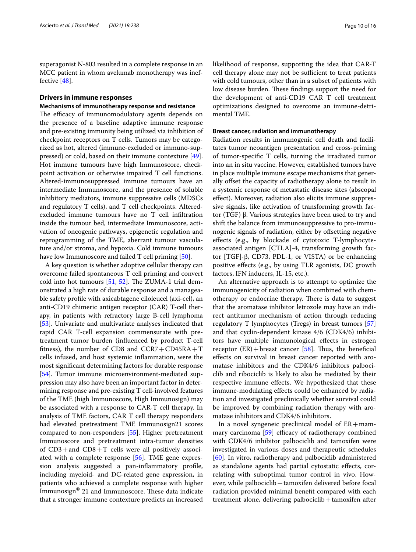superagonist N-803 resulted in a complete response in an MCC patient in whom avelumab monotherapy was ineffective [\[48\]](#page-15-4).

#### **Drivers in immune responses**

#### **Mechanisms of immunotherapy response and resistance**

The efficacy of immunomodulatory agents depends on the presence of a baseline adaptive immune response and pre-existing immunity being utilized via inhibition of checkpoint receptors on T cells. Tumors may be categorized as hot, altered (immune-excluded or immuno-suppressed) or cold, based on their immune contexture [\[49](#page-15-5)]. Hot immune tumours have high Immunoscore, checkpoint activation or otherwise impaired T cell functions. Altered-immunosuppressed immune tumours have an intermediate Immunoscore, and the presence of soluble inhibitory mediators, immune suppressive cells (MDSCs and regulatory T cells), and T cell checkpoints. Alteredexcluded immune tumours have no T cell infltration inside the tumour bed, intermediate Immunoscore, activation of oncogenic pathways, epigenetic regulation and reprogramming of the TME, aberrant tumour vasculature and/or stroma, and hypoxia. Cold immune tumours have low Immunoscore and failed T cell priming [[50\]](#page-15-6).

A key question is whether adoptive cellular therapy can overcome failed spontaneous T cell priming and convert cold into hot tumours  $[51, 52]$  $[51, 52]$  $[51, 52]$  $[51, 52]$  $[51, 52]$ . The ZUMA-1 trial demonstrated a high rate of durable response and a manageable safety profle with axicabtagene ciloleucel (axi-cel), an anti-CD19 chimeric antigen receptor (CAR) T-cell therapy, in patients with refractory large B-cell lymphoma [[53\]](#page-15-9). Univariate and multivariate analyses indicated that rapid CAR T-cell expansion commensurate with pretreatment tumor burden (infuenced by product T-cell fitness), the number of CD8 and  $CCR7+CD45RA+T$ cells infused, and host systemic infammation, were the most signifcant determining factors for durable response [[54\]](#page-15-10). Tumor immune microenvironment-mediated suppression may also have been an important factor in determining response and pre-existing T cell-involved features of the TME (high Immunoscore, High Immunosign) may be associated with a response to CAR-T cell therapy. In analysis of TME factors, CAR T cell therapy responders had elevated pretreatment TME Immunosign21 scores compared to non-responders [\[55](#page-15-11)]. Higher pretreatment Immunoscore and pretreatment intra-tumor densities of  $CD3+$ and  $CD8+T$  cells were all positively associated with a complete response [\[56](#page-15-12)]. TME gene expression analysis suggested a pan-infammatory profle, including myeloid- and DC-related gene expression, in patients who achieved a complete response with higher Immunosign® 21 and Immunoscore. These data indicate that a stronger immune contexture predicts an increased likelihood of response, supporting the idea that CAR-T cell therapy alone may not be sufficient to treat patients with cold tumours, other than in a subset of patients with low disease burden. These findings support the need for the development of anti-CD19 CAR T cell treatment optimizations designed to overcome an immune-detrimental TME.

#### **Breast cancer, radiation and immunotherapy**

Radiation results in immunogenic cell death and facilitates tumor neoantigen presentation and cross-priming of tumor-specifc T cells, turning the irradiated tumor into an in situ vaccine. However, established tumors have in place multiple immune escape mechanisms that generally ofset the capacity of radiotherapy alone to result in a systemic response of metastatic disease sites (abscopal efect). Moreover, radiation also elicits immune suppressive signals, like activation of transforming growth factor (TGF) β. Various strategies have been used to try and shift the balance from immunosuppressive to pro-immunogenic signals of radiation, either by ofsetting negative efects (e.g., by blockade of cytotoxic T-lymphocyteassociated antigen [CTLA]-4, transforming growth factor [TGF]-β, CD73, PDL-1, or VISTA) or be enhancing positive efects (e.g., by using TLR agonists, DC growth factors, IFN inducers, IL-15, etc.).

An alternative approach is to attempt to optimize the immunogenicity of radiation when combined with chemotherapy or endocrine therapy. There is data to suggest that the aromatase inhibitor letrozole may have an indirect antitumor mechanism of action through reducing regulatory T lymphocytes (Tregs) in breast tumors [[57](#page-15-13)] and that cyclin-dependent kinase 4/6 (CDK4/6) inhibitors have multiple immunological efects in estrogen receptor  $(ER) + \text{breast cancer}$  [[58](#page-15-14)]. Thus, the beneficial efects on survival in breast cancer reported with aromatase inhibitors and the CDK4/6 inhibitors palbociclib and ribociclib is likely to also be mediated by their respective immune efects. We hypothesized that these immune-modulating efects could be enhanced by radiation and investigated preclinically whether survival could be improved by combining radiation therapy with aromatase inhibitors and CDK4/6 inhibitors.

In a novel syngeneic preclinical model of  $ER + mam$ mary carcinoma  $[59]$  $[59]$  efficacy of radiotherapy combined with CDK4/6 inhibitor palbociclib and tamoxifen were investigated in various doses and therapeutic schedules [[60\]](#page-15-16). In vitro, radiotherapy and palbociclib administered as standalone agents had partial cytostatic efects, correlating with suboptimal tumor control in vivo. However, while palbociclib + tamoxifen delivered before focal radiation provided minimal beneft compared with each treatment alone, delivering palbociclib+tamoxifen after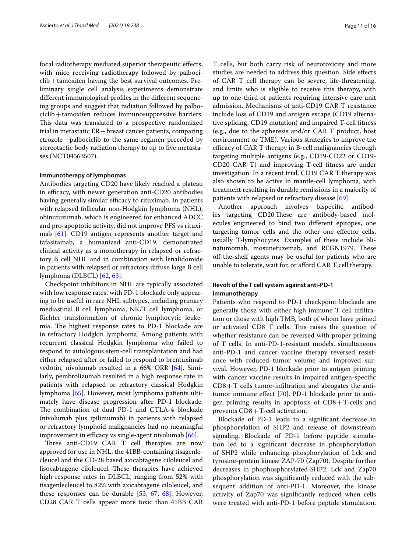focal radiotherapy mediated superior therapeutic efects, with mice receiving radiotherapy followed by palbociclib+tamoxifen having the best survival outcomes. Preliminary single cell analysis experiments demonstrate diferent immunological profles in the diferent sequencing groups and suggest that radiation followed by palbociclib+tamoxifen reduces immunosuppressive barriers. This data was translated to a prospective randomized trial in metastatic  $ER + breast$  cancer patients, comparing etrozole+palbociclib to the same regimen preceded by stereotactic body radiation therapy to up to five metastases (NCT04563507).

#### **Immunotherapy of lymphomas**

Antibodies targeting CD20 have likely reached a plateau in efficacy, with newer generation anti-CD20 antibodies having generally similar efficacy to rituximab. In patients with relapsed follicular non-Hodgkin lymphoma (NHL), obinutuzumab, which is engineered for enhanced ADCC and pro-apoptotic activity, did not improve PFS vs rituximab [[61\]](#page-15-17). CD19 antigen represents another target and tafasitamab, a humanized anti-CD19, demonstrated clinical activity as a monotherapy in relapsed or refractory B cell NHL and in combination with lenalidomide in patients with relapsed or refractory difuse large B cell lymphoma (DLBCL) [\[62,](#page-15-18) [63](#page-15-19)].

Checkpoint inhibitors in NHL are typically associated with low response rates, with PD-1 blockade only appearing to be useful in rare NHL subtypes, including primary mediastinal B cell lymphoma, NK/T cell lymphoma, or Richter transformation of chronic lymphocytic leukemia. The highest response rates to PD-1 blockade are in refractory Hodgkin lymphoma. Among patients with recurrent classical Hodgkin lymphoma who failed to respond to autologous stem-cell transplantation and had either relapsed after or failed to respond to brentuximab vedotin, nivolumab resulted in a 66% ORR [[64\]](#page-15-20). Similarly, pembrolizumab resulted in a high response rate in patients with relapsed or refractory classical Hodgkin lymphoma [[65\]](#page-15-21). However, most lymphoma patients ultimately have disease progression after PD-1 blockade. The combination of dual PD-1 and CTLA-4 blockade (nivolumab plus ipilimumab) in patients with relapsed or refractory lymphoid malignancies had no meaningful improvement in efficacy vs single-agent nivolumab  $[66]$ .

Three anti-CD19 CAR T cell therapies are now approved for use in NHL, the 41BB-containing tisagenlecleucel and the CD-28 based axicabtagene ciloleucel and lisocabtagene ciloleucel. These therapies have achieved high response rates in DLBCL, ranging from 52% with tisagenlecleucel to 82% with axicabtagene ciloleucel, and these responses can be durable [\[53,](#page-15-9) [67,](#page-15-23) [68](#page-15-24)]. However, CD28 CAR T cells appear more toxic than 41BB CAR T cells, but both carry risk of neurotoxicity and more studies are needed to address this question. Side efects of CAR T cell therapy can be severe, life-threatening, and limits who is eligible to receive this therapy, with up to one-third of patients requiring intensive care unit admission. Mechanisms of anti-CD19 CAR T resistance include loss of CD19 and antigen escape (CD19 alternative splicing, CD19 mutation) and impaired T-cell ftness (e.g., due to the apheresis and/or CAR T product, host environment or TME). Various strategies to improve the efficacy of CAR T therapy in B-cell malignancies through targeting multiple antigens (e.g., CD19-CD22 or CD19- CD20 CAR T) and improving T-cell ftness are under investigation. In a recent trial, CD19 CAR T therapy was also shown to be active in mantle-cell lymphoma, with treatment resulting in durable remissions in a majority of patients with relapsed or refractory disease [[69](#page-15-25)].

Another approach involves bispecifc antibodies targeting CD20. These are antibody-based molecules engineered to bind two diferent epitopes, one targeting tumor cells and the other one efector cells, usually T-lymphocytes. Examples of these include blinatumomab, mosunetuzemab, and REGN1979. These off-the-shelf agents may be useful for patients who are unable to tolerate, wait for, or afford CAR T cell therapy.

#### **Revolt of the T cell system against anti‑PD‑1 immunotherapy**

Patients who respond to PD-1 checkpoint blockade are generally those with either high immune T cell infltration or those with high TMB, both of whom have primed or activated CD8 T cells. This raises the question of whether resistance can be reversed with proper priming of T cells. In anti-PD-1-resistant models, simultaneous anti-PD-1 and cancer vaccine therapy reversed resistance with reduced tumor volume and improved survival. However, PD-1 blockade prior to antigen priming with cancer vaccine results in impaired antigen-specifc  $CD8+T$  cells tumor-infiltration and abrogates the antitumor immune efect [\[70](#page-15-26)]. PD-1 blockade prior to antigen priming results in apoptosis of  $CD8+T$ -cells and prevents CD8+T-cell activation.

Blockade of PD-1 leads to a signifcant decrease in phosphorylation of SHP2 and release of downstream signaling. Blockade of PD-1 before peptide stimulation led to a signifcant decrease in phosphorylation of SHP2 while enhancing phosphorylation of Lck and tyrosine-protein kinase ZAP-70 (Zap70). Despite further decreases in phophosphorylated-SHP2, Lck and Zap70 phosphorylation was signifcantly reduced with the subsequent addition of anti-PD-1. Moreover, the kinase activity of Zap70 was signifcantly reduced when cells were treated with anti-PD-1 before peptide stimulation.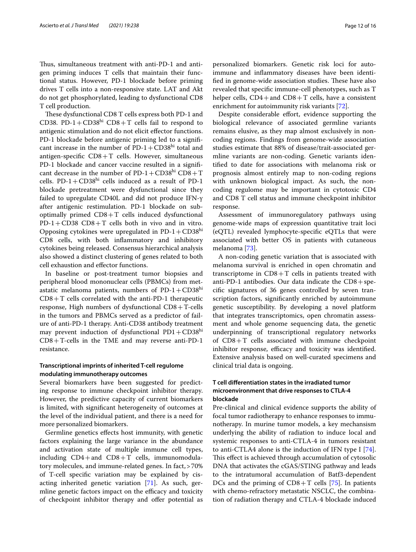Thus, simultaneous treatment with anti-PD-1 and antigen priming induces T cells that maintain their functional status. However, PD-1 blockade before priming drives T cells into a non-responsive state. LAT and Akt do not get phosphorylated, leading to dysfunctional CD8 T cell production.

These dysfunctional CD8 T cells express both PD-1 and CD38. PD-1+ $CD38<sup>hi</sup>$  CD8+T cells fail to respond to antigenic stimulation and do not elicit efector functions. PD-1 blockade before antigenic priming led to a signifcant increase in the number of  $PD-1+CD38$ hi total and antigen-specifc CD8+T cells. However, simultaneous PD-1 blockade and cancer vaccine resulted in a significant decrease in the number of  $PD-1+CD38<sup>hi</sup>$  CD8+T cells. PD-1+ $CD38<sup>hi</sup>$  cells induced as a result of PD-1 blockade pretreatment were dysfunctional since they failed to upregulate CD40L and did not produce IFN-γ after antigenic restimulation. PD-1 blockade on suboptimally primed  $CD8+T$  cells induced dysfunctional  $PD-1+CD38$   $CD8+T$  cells both in vivo and in vitro. Opposing cytokines were upregulated in  $PD-1+CD38<sup>hi</sup>$ CD8 cells, with both infammatory and inhibitory cytokines being released. Consensus hierarchical analysis also showed a distinct clustering of genes related to both cell exhaustion and efector functions.

In baseline or post-treatment tumor biopsies and peripheral blood mononuclear cells (PBMCs) from metastatic melanoma patients, numbers of  $PD-1+CD38<sup>hi</sup>$  $CD8+T$  cells correlated with the anti-PD-1 therapeutic response, High numbers of dysfunctional  $CD8 + T$ -cells in the tumors and PBMCs served as a predictor of failure of anti-PD-1 therapy. Anti-CD38 antibody treatment may prevent induction of dysfunctional  $PDI + CD38<sup>h1</sup>$ CD8+T-cells in the TME and may reverse anti-PD-1 resistance.

#### **Transcriptional imprints of inherited T‑cell regulome modulating immunotherapy outcomes**

Several biomarkers have been suggested for predicting response to immune checkpoint inhibitor therapy. However, the predictive capacity of current biomarkers is limited, with signifcant heterogeneity of outcomes at the level of the individual patient, and there is a need for more personalized biomarkers.

Germline genetics efects host immunity, with genetic factors explaining the large variance in the abundance and activation state of multiple immune cell types, including  $CD4+$ and  $CD8+T$  cells, immunomodulatory molecules, and immune-related genes. In fact,>70% of T-cell specifc variation may be explained by cisacting inherited genetic variation [\[71](#page-15-27)]. As such, germline genetic factors impact on the efficacy and toxicity of checkpoint inhibitor therapy and offer potential as personalized biomarkers. Genetic risk loci for autoimmune and infammatory diseases have been identified in genome-wide association studies. These have also revealed that specifc immune-cell phenotypes, such as T helper cells,  $CD4+$ and  $CD8+T$  cells, have a consistent enrichment for autoimmunity risk variants [[72](#page-15-28)].

Despite considerable effort, evidence supporting the biological relevance of associated germline variants remains elusive, as they map almost exclusively in noncoding regions. Findings from genome-wide association studies estimate that 88% of disease/trait-associated germline variants are non-coding. Genetic variants identifed to date for associations with melanoma risk or prognosis almost entirely map to non-coding regions with unknown biological impact. As such, the noncoding regulome may be important in cytotoxic CD4 and CD8 T cell status and immune checkpoint inhibitor response.

Assessment of immunoregulatory pathways using genome-wide maps of expression quantitative trait loci (eQTL) revealed lymphocyte-specifc eQTLs that were associated with better OS in patients with cutaneous melanoma [\[73](#page-15-29)].

A non-coding genetic variation that is associated with melanoma survival is enriched in open chromatin and transcriptome in  $CD8+T$  cells in patients treated with anti-PD-1 antibodies. Our data indicate the  $CD8 + spe$ cifc signatures of 36 genes controlled by seven transcription factors, signifcantly enriched by autoimmune genetic susceptibility. By developing a novel platform that integrates transcriptomics, open chromatin assessment and whole genome sequencing data, the genetic underpinning of transcriptional regulatory networks of  $CD8+T$  cells associated with immune checkpoint inhibitor response, efficacy and toxicity was identified. Extensive analysis based on well-curated specimens and clinical trial data is ongoing.

#### **T cell diferentiation states in the irradiated tumor microenvironment that drive responses to CTLA‑4 blockade**

Pre-clinical and clinical evidence supports the ability of focal tumor radiotherapy to enhance responses to immunotherapy. In murine tumor models, a key mechansism underlying the ability of radiation to induce local and systemic responses to anti-CTLA-4 in tumors resistant to anti-CTLA4 alone is the induction of IFN type I [\[74](#page-15-30)]. This effect is achieved through accumulation of cytosolic DNA that activates the cGAS/STING pathway and leads to the intratumoral accumulation of Batf3-dependent DCs and the priming of  $CD8+T$  cells [[75](#page-15-31)]. In patients with chemo-refractory metastatic NSCLC, the combination of radiation therapy and CTLA-4 blockade induced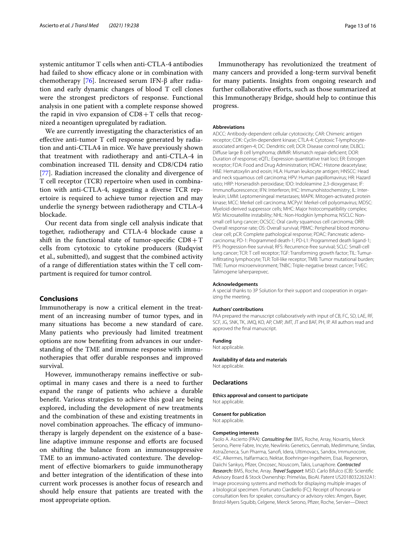systemic antitumor T cells when anti-CTLA-4 antibodies had failed to show efficacy alone or in combination with chemotherapy [\[76](#page-15-32)]. Increased serum IFN-β after radiation and early dynamic changes of blood T cell clones were the strongest predictors of response. Functional analysis in one patient with a complete response showed the rapid in vivo expansion of  $CD8+T$  cells that recognized a neoantigen upregulated by radiation.

We are currently investigating the characteristics of an efective anti-tumor T cell response generated by radiation and anti-CTLA4 in mice. We have previously shown that treatment with radiotherapy and anti-CTLA-4 in combination increased TIL density and CD8/CD4 ratio [[77\]](#page-15-33). Radiation increased the clonality and divergence of T cell receptor (TCR) repertoire when used in combination with anti-CTLA-4, suggesting a diverse TCR repertoire is required to achieve tumor rejection and may underlie the synergy between radiotherapy and CTLA-4 blockade.

Our recent data from single cell analysis indicate that together, radiotherapy and CTLA-4 blockade cause a shift in the functional state of tumor-specific  $CD8+T$ cells from cytotoxic to cytokine producers (Rudqvist et al., submitted), and suggest that the combined activity of a range of diferentiation states within the T cell compartment is required for tumor control.

#### **Conclusions**

Immunotherapy is now a critical element in the treatment of an increasing number of tumor types, and in many situations has become a new standard of care. Many patients who previously had limited treatment options are now benefting from advances in our understanding of the TME and immune response with immunotherapies that offer durable responses and improved survival.

However, immunotherapy remains inefective or suboptimal in many cases and there is a need to further expand the range of patients who achieve a durable beneft. Various strategies to achieve this goal are being explored, including the development of new treatments and the combination of these and existing treatments in novel combination approaches. The efficacy of immunotherapy is largely dependent on the existence of a baseline adaptive immune response and efforts are focused on shifting the balance from an immunosuppressive TME to an immuno-activated contexture. The development of efective biomarkers to guide immunotherapy and better integration of the identifcation of these into current work processes is another focus of research and should help ensure that patients are treated with the most appropriate option.

Immunotherapy has revolutionized the treatment of many cancers and provided a long-term survival beneft for many patients. Insights from ongoing research and further collaborative eforts, such as those summarized at this Immunotherapy Bridge, should help to continue this progress.

#### **Abbreviations**

ADCC: Antibody-dependent cellular cytotoxicity; CAR: Chimeric antigen receptor; CDK: Cyclin-dependent kinase; CTLA-4: Cytotoxic T-lymphocyteassociated antigen-4; DC: Dendritic cell; DCR: Disease control rate; DLBCL: Difuse large B cell lymphoma; dMMR: Mismatch repair-defcient; DOR: Duration of response; eQTL: Expression quantitative trait loci; ER: Estrogen receptor; FDA: Food and Drug Administration; HDAC: Histone deacetylase; H&E: Hematoxylin and eosin; HLA: Human leukocyte antigen; HNSCC: Head and neck squamous cell carcinoma; HPV: Human papillomavirus; HR: Hazard ratio; HRP: Horseradish peroxidase; IDO: Indoleamine 2,3-dioxygenase; IF: Immunofuorescence; IFN: Interferon; IHC: Immunohistochemistry; IL: Interleukin; LMM: Leptomeningeal metastases; MAPK: Mitogen-activated protein kinase; MCC: Merkel cell carcinoma; MCPyV: Merkel-cell polyomavirus; MDSC: Myeloid-derived suppressor cells; MHC: Major histocompatibility complex; MSI: Microsatellite instability; NHL: Non-Hodgkin lymphoma; NSCLC: Nonsmall cell lung cancer; OCSCC: Oral cavity squamous cell carcinoma; ORR: Overall response rate; OS: Overall survival; PBMC: Peripheral blood mononuclear cell; pCR: Complete pathological response; PDAC: Pancreatic adenocarcinoma; PD-1: Programmed death-1; PD-L1: Programmed death ligand-1; PFS: Progression-free survival; RFS: Recurrence-free survival; SCLC: Small-cell lung cancer; TCR: T cell receptor; TGF: Transforming growth factor; TIL: Tumurinfltrating lymphocyte; TLR: Toll-like receptor; TMB: Tumor mutational burden; TME: Tumor microenvironment; TNBC: Triple-negative breast cancer; T-VEC: Talimogene laherparepvec.

#### **Acknowledgements**

A special thanks to 3P Solution for their support and cooperation in organizing the meeting.

#### **Authors' contributions**

PAA prepared the manuscript collaboratively with input of CB, FC, SD, LAE, RF, SCF, JG, SNK, TK, JMQ, KO, AP, CMP, JMT, JT and BAF, PH, IP. All authors read and approved the fnal manuscript.

#### **Funding**

Not applicable.

#### **Availability of data and materials**

Not applicable.

#### **Declarations**

#### **Ethics approval and consent to participate** Not applicable.

**Consent for publication** Not applicable.

# **Competing interests**

Paolo A. Ascierto (PAA): *Consulting fee*: BMS, Roche, Array, Novartis, Merck Serono, Pierre Fabre, Incyte, Newlinks Genetics, Genmab, Medimmune, Sindax, AstraZeneca, Sun Pharma, Sanof, Idera, Ultimovacs, Sandox, Immunocore, 4SC, Alkermes, Italfarmaco, Nektar, Boehringer-Ingelheim, Eisai, Regeneron, Daiichi Sankyo, Pfzer, Oncosec, Nouscom, Takis, Lunaphore. *Contracted Research:* BMS, Roche, Array. *Travel Support*: MSD. Carlo Bifulco (CB): Scientifc Advisory Board & Stock Ownership: PrimeVax, BioAI. Patent US20180322632A1: Image processing systems and methods for displaying multiple images of a biological specimen. Fortunato Ciardiello (FC): Receipt of honoraria or consultation fees for speaker, consultancy or advisory roles: Amgen, Bayer, Bristol-Myers Squibb, Celgene, Merck Serono, Pfzer, Roche, Servier—Direct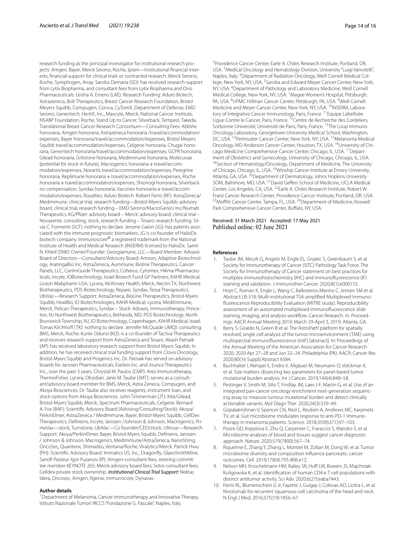research funding as the principal investigator for institutional research projects: Amgen, Bayer, Merck Serono, Roche, Ipsen—Institutional fnancial interests, fnancial support for clinical trials or contracted research: Merck Serono, Roche, Symphogen, Array. Sandra Demaria (SD): has received research support from Lytix Biopharma, and consultant fees from Lytix Biopharma and Ono Pharmaceuticals. Leisha A. Emens (LAE): Research Funding: Aduro Biotech, Astrazeneca, Bolt Therapeutics, Breast Cancer Research Foundation, Bristol Meyers Squibb, Compugen, Corvus, CyTomX, Department of Defense, EMD Serono, Genentech, HeritX, Inc., Maxcyte, Merck, National Cancer Institute, NSABP Foundation, Roche, Stand Up to Cancer, Silverback, Tempest, Takeda, Translational Breast Cancer Research Consortium—Consulting Fees: AbbVie honoraria, Amgen honoraria, Astrazeneca honoraria /travel/accommodation/ expenses, Bayer honoraria/travel/accommodation/expenses, Bristol Meyers Squibb travel/accommodation/expenses, Celgene honoraria, Chugai honoraria, Genentech honoraria/travel/accommodation/expenses, GCPR honoraria, Gilead honoraria, Gritstone honoraria, Medimmune honoraria, Molecuvax (potential for stock in future), Macrogenics honoraria  $+$  travel/accommodation/expenses, Novartis travel/accommodation/expenses, Peregrine honoraria, Replimune honoraria+travel/accommodation/expenses, Roche honoraria+travel/accommodation/expenses, Shionogi honoraria, Silverback no compensation, Syndax honoraria, Vaccinex honoraria+travel/accommodation/expenses, Royalties: Aduro Biotech. Robert Ferris (RF): AstraZeneca/ Medimmune: clinical trial, research funding—Bristol-Myers Squibb: advisory board, clinical trial, research funding – EMD Serono/MacroGenics Inc/Numab Therapeutics AG/Pfzer: advisory board – Merck: advisory board, clinical trial – Novasenta: consulting, stock, research funding – Tesaro: research funding. Silvia C. Formenti (SCF): nothing to declare. Jerome Galon (JG): has patents associated with the immune prognostic biomarkers. JG is co-founder of HalioDx biotech company. Immunoscore® a registered trademark from the National Institute of Health and Medical Research (INSERM) licensed to HalioDx. Samir N. Khleif (SNK): Owner/Founder: Georgiamune, LLC—Board Member: Advaxis Board of Directors—Consultant/Advisory Board: Amoon, Adaptive Biotechnology, AratingaBio Inc, AstraZeneca, Aummune, Bioline Therapeutics, Cancer Panels, LLC, CanImGuide Therapeutics, Coherus, Cytomex, Hikma Pharmaceuticals, Incyte, IOBiotechnology, Israel Biotech Fund GP Partners, KAHR Medical, Livzon Mabpharm USA, Lycera, McKinsey Health, Merck, Nectin TX, Northwest Biotherapeutics, PDS Biotechnology, Repare, Syndax, Tessa Therapeutics, UbiVac—Research Support: AstraZeneca, BioLine Therapeutics, Bristol-Myers Squibb, HeatBio, IO Biotechnologies, KAHR Medical, Lycera, MediImmune, Merck, Pelican Therapeutics, Syndax – Stock: Advaxis, Immunotherapy, Princeton, NJ Northwest Biotherapeutics, Bethesda, MD, PDS Biotechnology, North Brunswick Township, NJ, IO Biotechnology, Copenhagen, KAHR Medical, Israel. Tomas Kirchhoff (TK): nothing to declare. Jennifer McQuade (JMQ): consulting: BMS, Merck, Roche. Kunle Odunsi (KO): is a co-founder of Tactiva Therapeutics and receives research support from AstraZeneca and Tesaro. Akash Patnaik (AP): has received laboratory research support from Bristol Myers Squibb. In addition, he has received clinical trial funding support from Clovis Oncology, Bristol Myers Squibb and Progenics Inc. Dr. Patnaik has served on advisory boards for Janssen Pharmaceuticals, Exelixis Inc. and Jounce Therapeutics Inc., over the past 3 years. Chrystal M. Paulos (CMP): Ares Immunotherapy, ThermoFisher, Lycera, Obsidian. Janis M. Taube (JMT): serves as a consultant/advisory board member for BMS, Merck, Astra Zeneca, Compugen, and Akoya Biosciences. Dr. Taube also receives reagents, instrument loan, and stock options from Akoya Biosciences. John Timmerman (JT): Kite/Gilead, Bristol-Myers Squibb, Merck, Spectrum Pharmaceuticals, Celgene. Bernard A. Fox (BAF): Scientifc Advisory Board (Advising/Consulting/Stock): Akoya/ PerkinElmer, AstraZeneca / MedImmune, Bayer, Bristol-Myers Squibb, CellDex Therapeutics, Defniens, Incyte, Janssen /Johnson & Johnson, Macrogenics, PrimeVax—stock, Turnstone, UbiVac—Co founder/CEO/stock, Ultivue—Research Support: Akoya/PerkinElmer, Bayer, Bristol-Myers Squibb, Defniens, Janssen / Johnson & Johnson, Macrogenics, MedImmune/AstraZeneca, NanoString, OncoSec, Quanterix, Shimadzu, Ventana/Roche, Viralytics/Merck. Patrick Hwu (PH): Scientifc Advisory Board: Immatics US, Inc., Dragonfy, GlaxoSmithKline, Sanofi Pasteur. Igor Puzanov (IP): Amgen-consultant fees, steering committee member KEYNOTE 265; Merck-advisory board fees; Sotio-consultant fees; Celldex-private stock ownership. *Institutional Clinical Trial Support:* Nektar, Idera, Oncosec, Amgen, Rgenix, Immunocore, Dynavax.

#### **Author details**

<sup>1</sup> Department of Melanoma, Cancer Immunotherapy and Innovative Therapy, Istituto Nazionale Tumori IRCCS "Fondazione G. Pascale", Naples, Italy.

<sup>2</sup> Providence Cancer Center, Earle A. Chiles Research Institute, Portland, OR, USA.<sup>3</sup> Medical Oncology and Hematology Division, University "Luigi Vanvitelli", Naples, Italy. 4 Department of Radiation Oncology, Weill Cornell Medical College, New York, NY, USA. <sup>5</sup> Sandra and Edward Meyer Cancer Center, New York, NY, USA. <sup>6</sup> Department of Pathology and Laboratory Medicine, Weill Cornell Medical College, New York, NY, USA. <sup>7</sup> Magee Women's Hospital, Pittsburgh, PA, USA. <sup>8</sup>UPMC Hillman Cancer Center, Pittsburgh, PA, USA. <sup>9</sup>Weill Cornell Medicine and Meyer Cancer Center, New York, NY, USA. <sup>10</sup>INSERM, Laboratory of Integrative Cancer Immunology, Paris, France.<sup>11</sup> Equipe Labellisée Lique Contre le Cancer, Paris, France. <sup>12</sup>Centre de Recherche des Cordeliers, Sorbonne Université, Université de Paris, Paris, France. 13The Loop Immuno Oncology Laboratory, Georgetown University Medical School, Washington, DC, USA. <sup>14</sup>Perlmutter Cancer Center, New York, NY, USA. <sup>15</sup>Melanoma Medical Oncology, MD Anderson Cancer Center, Houston, TX, USA. <sup>16</sup>University of Chicago Medicine Comprehensive Cancer Center, Chicago, IL, USA. 17Department of Obstetrics and Gynecology, University of Chicago, Chicago, IL, USA.<br><sup>18</sup>Section of Hematology/Oncology, Department of Medicine, The University of Chicago, Chicago, IL, USA. 19Winship Cancer Institute at Emory University, Atlanta, GA, USA. <sup>20</sup> Department of Dermatology, Johns Hopkins University SOM, Baltimore, MD, USA. 21David Gefen School of Medicine, UCLA Medical Center, Los Angeles, CA, USA. 22Earle A. Chiles Research Institute, Robert W. Franz Cancer Research Center, Providence Cancer Institute, Portland, OR, USA. <sup>23</sup>Moffitt Cancer Center, Tampa, FL, USA. <sup>24</sup>Department of Medicine, Roswell Park Comprehensive Cancer Center, Buffalo, NY, USA.

#### Received: 31 March 2021 Accepted: 17 May 2021 Published online: 02 June 2021

#### **References**

- <span id="page-13-0"></span>Taube JM, Akturk G, Angelo M, Engle EL, Gnjatic S, Greenbaum S, et al. Society for Immunotherapy of Cancer (SITC) Pathology Task Force. The Society for Immunotherapy of Cancer statement on best practices for multiplex immunohistochemistry (IHC) and immunofuorescence (IF) staining and validation. J Immunother Cancer. 2020;8(1):e000155.
- <span id="page-13-1"></span>Hoyt C, Roman K, Engle L, Wang C, Ballesteros-Merino C, Jensen SM et al. Abstract LB-318: Multi-institutional TSA-amplifed Multiplexed Immunofuorescence Reproducibility Evaluation (MITRE study): Reproducibility assessment of an automated multiplexed immunofuorescence slide staining, imaging, and analysis workflow. Cancer Research. In: Proceedings: AACR Annual Meeting 2019; March 29-April 3, 2019; Atlanta, GA.
- <span id="page-13-2"></span>3. Berry S, Giraldo N, Green B et al. The 'AstroPath' platform for spatially resolved, single cell analysis of the tumor microenvironment (TME) using multispectral immunofuorescence (mIF) [abstract]. In: Proceedings of the Annual Meeting of the American Association for Cancer Research 2020; 2020 Apr 27–28 and Jun 22–24. Philadelphia (PA): AACR; Cancer Res 2020;80(16 Suppl):Abstract 6584.
- <span id="page-13-3"></span>4. Buchhalter I, Rempel E, Endris V, Allgäuer M, Neumann O, Volckmar A, et al. Size matters: dissecting key parameters for panel-based tumor mutational burden analysis. Int J Cancer. 2019;144(4):848–58.
- <span id="page-13-4"></span>5. Pestinger V, Smith M, Sillo T, Findlay JM, Laes J-F, Martin G, et al. Use of an integrated pan-cancer oncology enrichment next-generation sequencing assay to measure tumour mutational burden and detect clinically actionable variants. Mol Diagn Ther. 2020;24(3):339–49.
- <span id="page-13-5"></span>6. Gopalakrishnan V, Spencer CN, Nezi L, Reuben A, Andrews MC, Karpinets TV, et al. Gut microbiome modulates response to anti-PD-1 immunotherapy in melanoma patients. Science. 2018;359(6371):97–103.
- <span id="page-13-6"></span>7. Poore GD, Kopylova E, Zhu Q, Carpenter C, Fraraccio S, Wandro S, et al. Microbiome analyses of blood and tissues suggest cancer diagnostic approach. Nature. 2020;579(7800):567–74.
- <span id="page-13-7"></span>8. Riquelme E, Zhang Y, Zhang L, Montiel M, Zoltan M, Dong W, et al. Tumor microbiome diversity and composition infuence pancreatic cancer outcomes. Cell. 2019;178(4):795-806.e12.
- <span id="page-13-8"></span>Nelson MH, Knochelmann HM, Bailey SR, Huff LW, Bowers JS, Majchrzak-Kuligowska K, et al. Identification of human CD4+ T cell populations with distinct antitumor activity. Sci Adv. 2020;6(27):eaba7443.
- <span id="page-13-9"></span>10. Ferris RL, Blumenschein G Jr, Fayette J, Guigay J, Colevas AD, Licitra L, et al. Nivolumab for recurrent squamous-cell carcinoma of the head and neck. N Engl J Med. 2016;375(19):1856–67.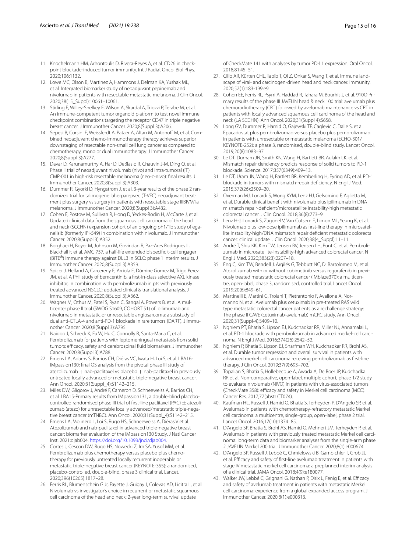- <span id="page-14-0"></span>11. Knochelmann HM, Arhontoulis D, Rivera-Reyes A, et al. CD26 in checkpoint blockade-induced tumor immunity. Int J Radiat Oncol Biol Phys. 2020;106:1132.
- <span id="page-14-1"></span>12. Lowe MC, Olson B, Martinez A, Hammons J, Delman KA, Yushak ML, et al. Integrated biomarker study of neoadjuvant pepinemab and nivolumab in patients with resectable metastatic melanoma. J Clin Oncol. 2020;38(15\_Suppl):10061–10061.
- <span id="page-14-2"></span>13. Stirling E, Willey-Shelkey E, Wilson A, Skardal A, Triozzi P, Terabe M, et al. An immune-competent tumor organoid platform to test novel immune checkpoint combinations targeting the receptor CD47 in triple negative breast cancer. J Immunother Cancer. 2020;8(Suppl 3):A206.
- <span id="page-14-3"></span>14. Sepesi B, Corsini E, Weissferdt A, Pataer A, Altan M, Antonoff M, et al. Combined neoadjuvant chemo-immunotherapy therapy achieves superior downstaging of resectable non-small cell lung cancer as compared to chemotherapy, mono or dual immunotherapy. J Immunother Cancer. 2020;8(Suppl 3):A277.
- <span id="page-14-4"></span>15. Davar D, Karunamurthy A, Har D, DeBlasio R, Chauvin J-M, Ding Q, et al. Phase II trial of neoadjuvant nivolumab (nivo) and intra-tumoral (IT) CMP-001 in high-risk resectable melanoma (neo-c-nivo): fnal results. J Immunother Cancer. 2020;8(Suppl 3):A303.
- <span id="page-14-5"></span>16. Dummer R, Gyorki D, Hyngstrom J, et al. 3-year results of the phase 2 randomized trial for talimogene laherparepvec (T-VEC) neoadjuvant treatment plus surgery vs surgery in patients with resectable stage IIIBIVM1a melanoma. J Immunother Cancer. 2020;8(Suppl 3):A432.
- <span id="page-14-6"></span>17. Cohen E, Postow M, Sullivan R, Hong D, Yeckes-Rodin H, McCarte J, et al. Updated clinical data from the squamous cell carcinoma of the head and neck (SCCHN) expansion cohort of an ongoing ph1/1b study of eganelisib (formerly IPI-549) in combination with nivolumab. J Immunother Cancer. 2020;8(Suppl 3):A352.
- <span id="page-14-7"></span>18. Borghaei H, Boyer M, Johnson M, Govindan R, Paz-Ares Rodrigues L, Blackhall F, et al. AMG 757, a half-life extended bispecifc t-cell engager (BiTE®) immune therapy against DLL3 in SCLC: phase 1 interim results. J Immunother Cancer. 2020;8(Suppl 3):A359.
- <span id="page-14-8"></span>19. Spicer J, Helland A, Carcereny E, Arriola E, Dómine Gomez M, Trigo Perez JM, et al. A PhII study of bemcentinib, a first-in-class selective AXL kinase inhibitor, in combination with pembrolizumab in pts with previously treated advanced NSCLC: updated clinical & translational analysis. J Immunother Cancer. 2020;8(Suppl 3):A362.
- <span id="page-14-9"></span>20. Wagner M, Othus M, Patel S, Ryan C, Sangal A, Powers B, et al. A multicenter phase II trial (SWOG S1609, COHORT 51) of ipilimumab and nivolumab in metastatic or unresectable angiosarcoma: a substudy of dual anti-CTLA-4 and anti-PD-1 blockade in rare tumors (DART). J Immunother Cancer. 2020;8(Suppl 3):A795.
- <span id="page-14-10"></span>21. Naidoo J, Schreck K, Fu W, Hu C, Connolly R, Santa-Maria C, et al. Pembrolizumab for patients with leptomeningeal metastasis from solid tumors: efficacy, safety and cerebrospinal fluid biomarkers. J Immunother Cancer. 2020;8(Suppl 3):A788.
- <span id="page-14-11"></span>22. Emens LA, Adams S, Barrios CH, Diéras VC, Iwata H, Loi S, et al. LBA16- IMpassion130: fnal OS analysis from the pivotal phase III study of atezolizumab + nab-paclitaxel vs placebo + nab-paclitaxel in previously untreated locally advanced or metastatic triple-negative breast cancer. Ann Oncol. 2020;31(Suppl\_4):S1142–215.
- <span id="page-14-12"></span>23. Miles DW, Gligorov J, André F, Cameron D, Schneeweiss A, Barrios CH, et al. LBA15-Primary results from IMpassion131, a double-blind placebocontrolled randomised phase III trial of first-line paclitaxel (PAC)  $\pm$  atezolizumab (atezo) for unresectable locally advanced/metastatic triple-negative breast cancer (mTNBC). Ann Oncol. 2020;31(Suppl\_4):S1142–215.
- <span id="page-14-13"></span>24. Emens LA, Molinero L, Loi S, Rugo HS, Schneeweiss A, Diéras V et al. Atezolizumab and nab-paclitaxel in advanced triple-negative breast cancer: biomarker evaluation of the IMpassion130 Study. J Natl Cancer Inst. 2021;djab004. [https://doi.org/10.1093/jnci/djab004.](https://doi.org/10.1093/jnci/djab004)
- <span id="page-14-14"></span>25. Cortes J, Cescon DW, Rugo HS, Nowecki Z, Im SA, Yusof MM, et al. Pembrolizumab plus chemotherapy versus placebo plus chemotherapy for previously untreated locally recurrent inoperable or metastatic triple-negative breast cancer (KEYNOTE-355): a randomised, placebo-controlled, double-blind, phase 3 clinical trial. Lancet. 2020;396(10265):1817–28.
- <span id="page-14-15"></span>26. Ferris RL, Blumenschein G Jr, Fayette J, Guigay J, Colevas AD, Licitra L, et al. Nivolumab vs investigator's choice in recurrent or metastatic squamous cell carcinoma of the head and neck: 2-year long-term survival update

of CheckMate 141 with analyses by tumor PD-L1 expression. Oral Oncol. 2018;81:45–51.

- <span id="page-14-16"></span>27. Cillo AR, Kürten CHL, Tabib T, Qi Z, Onkar S, Wang T, et al. Immune landscape of viral- and carcinogen-driven head and neck cancer. Immunity. 2020;52(1):183-199.e9.
- <span id="page-14-17"></span>28. Cohen EE, Ferris RL, Psyrri A, Haddad R, Tahara M, Bourhis J, et al. 910O Primary results of the phase III JAVELIN head & neck 100 trial: avelumab plus chemoradiotherapy (CRT) followed by avelumab maintenance vs CRT in patients with locally advanced squamous cell carcinoma of the head and neck (LA SCCHN). Ann Oncol. 2020;31(Suppl 4):S658.
- <span id="page-14-18"></span>29. Long GV, Dummer R, Hamid O, Gajewski TF, Caglevic C, Dalle S, et al. Epacadostat plus pembrolizumab versus placebo plus pembrolizumab in patients with unresectable or metastatic melanoma (ECHO-301/ KEYNOTE-252): a phase 3, randomised, double-blind study. Lancet Oncol. 2019;20(8):1083–97.
- <span id="page-14-19"></span>30. Le DT, Durham JN, Smith KN, Wang H, Bartlett BR, Aulakh LK, et al. Mismatch repair defciency predicts response of solid tumors to PD-1 blockade. Science. 2017;357(6349):409–13.
- <span id="page-14-20"></span>31. Le DT, Uram JN, Wang H, Bartlett BR, Kemberling H, Eyring AD, et al. PD-1 blockade in tumors with mismatch-repair defciency. N Engl J Med. 2015;372(26):2509–20.
- <span id="page-14-21"></span>32. Overman MJ, Lonardi S, Wong KYM, Lenz HJ, Gelsomino F, Aglietta M, et al. Durable clinical beneft with nivolumab plus ipilimumab in DNA mismatch repair-defcient/microsatellite instability-high metastatic colorectal cancer. J Clin Oncol. 2018;36(8):773–9.
- <span id="page-14-22"></span>33. Lenz H-J, Lonardi S, Zagonel V, Van Cutsem E, Limon ML, Yeung K, et al. Nivolumab plus low-dose ipilimumab as frst-line therapy in microsatellite instability-high/DNA mismatch repair defcient metastatic colorectal cancer: clinical update. J Clin Oncol. 2020;38(4\_Suppl):11–11.
- <span id="page-14-23"></span>34. André T, Shiu KK, Kim TW, Jensen BV, Jensen LH, Punt C, et al. Pembrolizumab in microsatellite-instability-high advanced colorectal cancer. N Engl J Med. 2020;383(23):2207–18.
- <span id="page-14-24"></span>35. Eng C, Kim TW, Bendell J, Argilés G, Tebbutt NC, Di Bartolomeo M, et al. Atezolizumab with or without cobimetinib versus regorafenib in previously treated metastatic colorectal cancer (IMblaze370): a multicentre, open-label, phase 3, randomised, controlled trial. Lancet Oncol. 2019;20(6):849–61.
- <span id="page-14-25"></span>36. Martinelli E, Martini G, Troiani T, Pietrantonio F, Avallone A, Normanno N, et al. Avelumab plus cetuximab in pre-treated RAS wild type metastatic colorectal cancer patients as a rechallenge strategy: The phase II CAVE (cetuximab-avelumab) mCRC study. Ann Oncol. 2020;31(Suppl-4):S409–10.
- <span id="page-14-26"></span>37. Nghiem PT, Bhatia S, Lipson EJ, Kudchadkar RR, Miller NJ, Annamalai L, et al. PD-1 blockade with pembrolizumab in advanced merkel-cell carcinoma. N Engl J Med. 2016;374(26):2542–52.
- <span id="page-14-27"></span>38. Nghiem P, Bhatia S, Lipson EJ, Sharfman WH, Kudchadkar RR, Brohl AS, et al. Durable tumor regression and overall survival in patients with advanced merkel cell carcinoma receiving pembrolizumab as frst-line therapy. J Clin Oncol. 2019;37(9):693–702.
- <span id="page-14-28"></span>39. Topalian S, Bhatia S, Hollebecque A, Awada A, De Boer JP, Kudchadka RR et al. Non-comparative, open-label, multiple cohort, phase 1/2 study to evaluate nivolumab (NIVO) in patients with virus-associated tumors (CheckMate 358): efficacy and safety in Merkel cell carcinoma (MCC). Cancer Res. 2017;77(abstr CT074).
- <span id="page-14-29"></span>40. Kaufman HL, Russell J, Hamid O, Bhatia S, Terheyden P, D'Angelo SP, et al. Avelumab in patients with chemotherapy-refractory metastatic Merkel cell carcinoma: a multicentre, single-group, open-label, phase 2 trial. Lancet Oncol. 2016;17(10):1374–85.
- <span id="page-14-30"></span>41. D'Angelo SP, Bhatia S, Brohl AS, Hamid O, Mehnert JM, Terheyden P, et al. Avelumab in patients with previously treated metastatic Merkel cell carcinoma: long-term data and biomarker analyses from the single-arm phase 2 JAVELIN Merkel 200 trial. J Immunother Cancer. 2020;8(1):e000674.
- <span id="page-14-31"></span>42. D'Angelo SP, Russell J, Lebbé C, Chmielowski B, Gambichler T, Grob JJ, et al. Efficacy and safety of first-line avelumab treatment in patients with stage IV metastatic merkel cell carcinoma: a preplanned interim analysis of a clinical trial. JAMA Oncol. 2018;4(9):e180077.
- <span id="page-14-32"></span>43. Walker JW, Lebbé C, Grignani G, Nathan P, Dirix L, Fenig E, et al. Efficacy and safety of avelumab treatment in patients with metastatic Merkel cell carcinoma: experience from a global expanded access program. J Immunother Cancer. 2020;8(1):e000313.